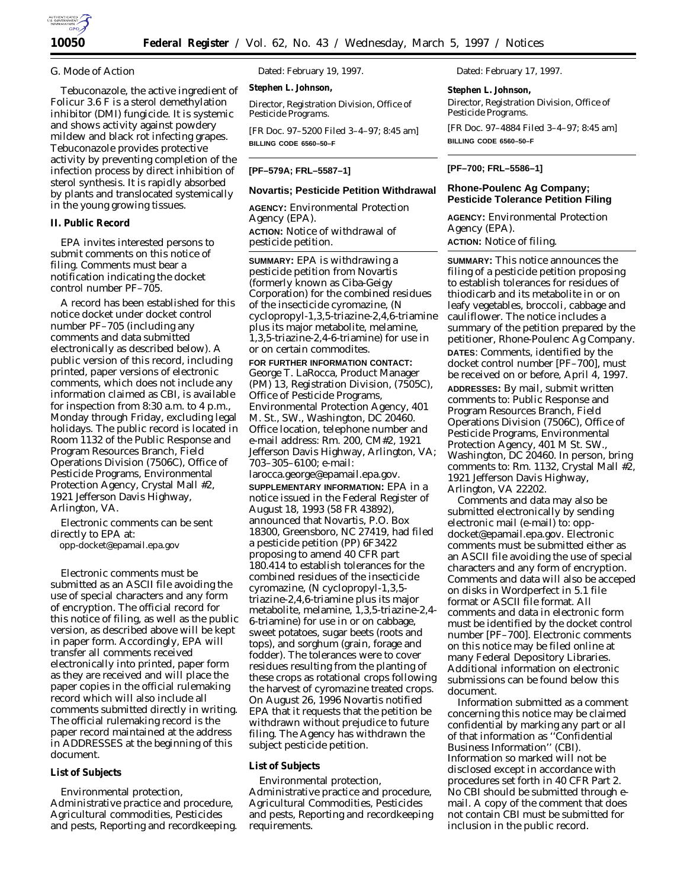

# *G. Mode of Action*

Tebuconazole, the active ingredient of Folicur 3.6 F is a sterol demethylation inhibitor (DMI) fungicide. It is systemic and shows activity against powdery mildew and black rot infecting grapes. Tebuconazole provides protective activity by preventing completion of the infection process by direct inhibition of sterol synthesis. It is rapidly absorbed by plants and translocated systemically in the young growing tissues.

# **II. Public Record**

EPA invites interested persons to submit comments on this notice of filing. Comments must bear a notification indicating the docket control number PF–705.

A record has been established for this notice docket under docket control number PF–705 (including any comments and data submitted electronically as described below). A public version of this record, including printed, paper versions of electronic comments, which does not include any information claimed as CBI, is available for inspection from 8:30 a.m. to 4 p.m., Monday through Friday, excluding legal holidays. The public record is located in Room 1132 of the Public Response and Program Resources Branch, Field Operations Division (7506C), Office of Pesticide Programs, Environmental Protection Agency, Crystal Mall #2, 1921 Jefferson Davis Highway, Arlington, VA.

Electronic comments can be sent directly to EPA at:

opp-docket@epamail.epa.gov

Electronic comments must be submitted as an ASCII file avoiding the use of special characters and any form of encryption. The official record for this notice of filing, as well as the public version, as described above will be kept in paper form. Accordingly, EPA will transfer all comments received electronically into printed, paper form as they are received and will place the paper copies in the official rulemaking record which will also include all comments submitted directly in writing. The official rulemaking record is the paper record maintained at the address in ADDRESSES at the beginning of this document.

# **List of Subjects**

Environmental protection, Administrative practice and procedure, Agricultural commodities, Pesticides and pests, Reporting and recordkeeping. Dated: February 19, 1997.

**Stephen L. Johnson,**

*Director, Registration Division, Office of Pesticide Programs.*

[FR Doc. 97–5200 Filed 3–4–97; 8:45 am] **BILLING CODE 6560–50–F**

### **[PF–579A; FRL–5587–1]**

# **Novartis; Pesticide Petition Withdrawal**

**AGENCY:** Environmental Protection Agency (EPA). **ACTION:** Notice of withdrawal of pesticide petition.

**SUMMARY:** EPA is withdrawing a pesticide petition from Novartis (formerly known as Ciba-Geigy Corporation) for the combined residues of the insecticide cyromazine, (*N* cyclopropyl-1,3,5-triazine-2,4,6-triamine plus its major metabolite, melamine, 1,3,5-triazine-2,4-6-triamine) for use in or on certain commodites.

**FOR FURTHER INFORMATION CONTACT:** George T. LaRocca, Product Manager (PM) 13, Registration Division, (7505C), Office of Pesticide Programs, Environmental Protection Agency, 401 M. St., SW., Washington, DC 20460. Office location, telephone number and e-mail address: Rm. 200, CM#2, 1921 Jefferson Davis Highway, Arlington, VA; 703–305–6100; e-mail:

larocca.george@epamail.epa.gov. **SUPPLEMENTARY INFORMATION:** EPA in a notice issued in the Federal Register of August 18, 1993 (58 FR 43892), announced that Novartis, P.O. Box 18300, Greensboro, NC 27419, had filed a pesticide petition (PP) 6F3422 proposing to amend 40 CFR part 180.414 to establish tolerances for the combined residues of the insecticide cyromazine, (*N* cyclopropyl-1,3,5 triazine-2,4,6-triamine plus its major metabolite, melamine, 1,3,5-triazine-2,4- 6-triamine) for use in or on cabbage, sweet potatoes, sugar beets (roots and tops), and sorghum (grain, forage and fodder). The tolerances were to cover residues resulting from the planting of these crops as rotational crops following the harvest of cyromazine treated crops. On August 26, 1996 Novartis notified EPA that it requests that the petition be withdrawn without prejudice to future filing. The Agency has withdrawn the subject pesticide petition.

### **List of Subjects**

Environmental protection, Administrative practice and procedure, Agricultural Commodities, Pesticides and pests, Reporting and recordkeeping requirements.

Dated: February 17, 1997.

**Stephen L. Johnson,** *Director, Registration Division, Office of Pesticide Programs.*

[FR Doc. 97–4884 Filed 3–4–97; 8:45 am] **BILLING CODE 6560–50–F**

#### **[PF–700; FRL–5586–1]**

#### **Rhone-Poulenc Ag Company; Pesticide Tolerance Petition Filing**

**AGENCY:** Environmental Protection Agency (EPA). **ACTION:** Notice of filing.

**SUMMARY:** This notice announces the filing of a pesticide petition proposing to establish tolerances for residues of thiodicarb and its metabolite in or on leafy vegetables, broccoli, cabbage and cauliflower. The notice includes a summary of the petition prepared by the petitioner, Rhone-Poulenc Ag Company. **DATES**: Comments, identified by the docket control number [PF–700], must be received on or before, April 4, 1997.

**ADDRESSES:** By mail, submit written comments to: Public Response and Program Resources Branch, Field Operations Division (7506C), Office of Pesticide Programs, Environmental Protection Agency, 401 M St. SW., Washington, DC 20460. In person, bring comments to: Rm. 1132, Crystal Mall #2, 1921 Jefferson Davis Highway, Arlington, VA 22202.

Comments and data may also be submitted electronically by sending electronic mail (e-mail) to: oppdocket@epamail.epa.gov. Electronic comments must be submitted either as an ASCII file avoiding the use of special characters and any form of encryption. Comments and data will also be acceped on disks in Wordperfect in 5.1 file format or ASCII file format. All comments and data in electronic form must be identified by the docket control number [PF–700]. Electronic comments on this notice may be filed online at many Federal Depository Libraries. Additional information on electronic submissions can be found below this document.

Information submitted as a comment concerning this notice may be claimed confidential by marking any part or all of that information as ''Confidential Business Information'' (CBI). Information so marked will not be disclosed except in accordance with procedures set forth in 40 CFR Part 2. No CBI should be submitted through email. A copy of the comment that does not contain CBI must be submitted for inclusion in the public record.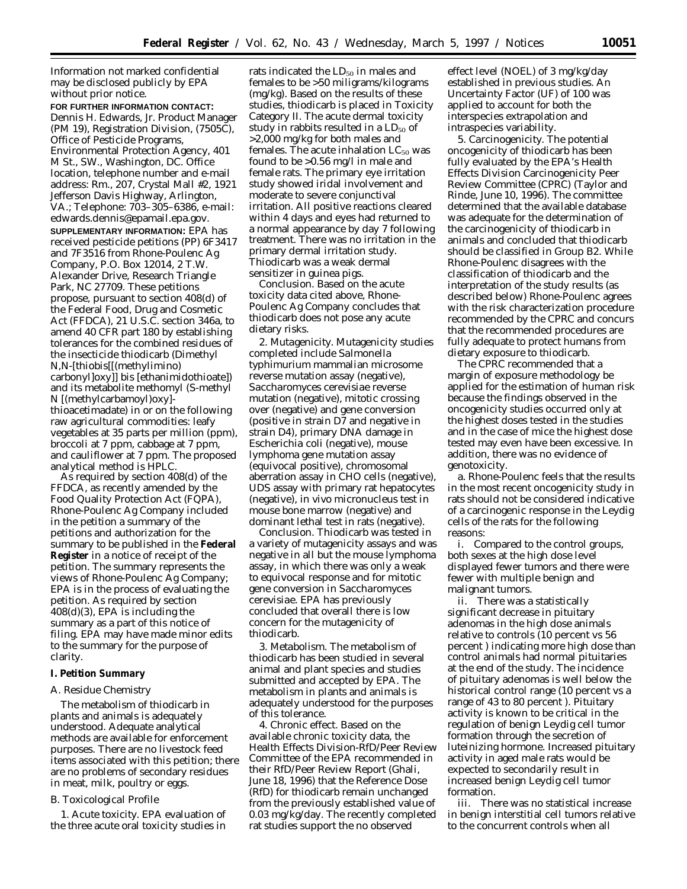Information not marked confidential may be disclosed publicly by EPA without prior notice.

**FOR FURTHER INFORMATION CONTACT:** Dennis H. Edwards, Jr. Product Manager (PM 19), Registration Division, (7505C), Office of Pesticide Programs, Environmental Protection Agency, 401 M St., SW., Washington, DC. Office location, telephone number and e-mail address: Rm., 207, Crystal Mall #2, 1921 Jefferson Davis Highway, Arlington, VA.; Telephone: 703–305–6386, e-mail: edwards.dennis@epamail.epa.gov. **SUPPLEMENTARY INFORMATION:** EPA has received pesticide petitions (PP) 6F3417 and 7F3516 from Rhone-Poulenc Ag Company, P.O. Box 12014, 2 T.W. Alexander Drive, Research Triangle Park, NC 27709. These petitions propose, pursuant to section 408(d) of the Federal Food, Drug and Cosmetic Act (FFDCA), 21 U.S.C. section 346a, to amend 40 CFR part 180 by establishing tolerances for the combined residues of the insecticide thiodicarb (Dimethyl *N,N*-[thiobis[[(methylimino) carbonyl]oxy]] bis [ethanimidothioate]) and its metabolite methomyl (*S*-methyl *N* [(methylcarbamoyl)oxy] thioacetimadate) in or on the following raw agricultural commodities: leafy vegetables at 35 parts per million (ppm), broccoli at 7 ppm, cabbage at 7 ppm, and cauliflower at 7 ppm. The proposed analytical method is HPLC.

As required by section 408(d) of the FFDCA, as recently amended by the Food Quality Protection Act (FQPA), Rhone-Poulenc Ag Company included in the petition a summary of the petitions and authorization for the summary to be published in the **Federal Register** in a notice of receipt of the petition. The summary represents the views of Rhone-Poulenc Ag Company; EPA is in the process of evaluating the petition. As required by section 408(d)(3), EPA is including the summary as a part of this notice of filing. EPA may have made minor edits to the summary for the purpose of clarity.

# **I. Petition Summary**

# *A. Residue Chemistry*

The metabolism of thiodicarb in plants and animals is adequately understood. Adequate analytical methods are available for enforcement purposes. There are no livestock feed items associated with this petition; there are no problems of secondary residues in meat, milk, poultry or eggs.

# *B. Toxicological Profile*

1. *Acute toxicity*. EPA evaluation of the three acute oral toxicity studies in

rats indicated the LD<sub>50</sub> in males and females to be >50 miligrams/kilograms (mg/kg). Based on the results of these studies, thiodicarb is placed in Toxicity Category II. The acute dermal toxicity study in rabbits resulted in a  $LD_{50}$  of >2,000 mg/kg for both males and females. The acute inhalation  $LC_{50}$  was found to be >0.56 mg/l in male and female rats. The primary eye irritation study showed iridal involvement and moderate to severe conjunctival irritation. All positive reactions cleared within 4 days and eyes had returned to a normal appearance by day 7 following treatment. There was no irritation in the primary dermal irritation study. Thiodicarb was a weak dermal sensitizer in guinea pigs.

*Conclusion.* Based on the acute toxicity data cited above, Rhone-Poulenc Ag Company concludes that thiodicarb does not pose any acute dietary risks.

2. *Mutagenicity*. Mutagenicity studies completed include *Salmonella typhimurium* mammalian microsome reverse mutation assay (negative), *Saccharomyces cerevisiae* reverse mutation (negative), mitotic crossing over (negative) and gene conversion (positive in strain D7 and negative in strain D4), primary DNA damage in *Escherichia coli* (negative), mouse lymphoma gene mutation assay (equivocal positive), chromosomal aberration assay in CHO cells (negative), UDS assay with primary rat hepatocytes (negative), *in vivo* micronucleus test in mouse bone marrow (negative) and dominant lethal test in rats (negative).

*Conclusion.* Thiodicarb was tested in a variety of mutagenicity assays and was negative in all but the mouse lymphoma assay, in which there was only a weak to equivocal response and for mitotic gene conversion in *Saccharomyces cerevisiae*. EPA has previously concluded that overall there is low concern for the mutagenicity of thiodicarb.

3. *Metabolism.* The metabolism of thiodicarb has been studied in several animal and plant species and studies submitted and accepted by EPA. The metabolism in plants and animals is adequately understood for the purposes of this tolerance.

4. *Chronic effect*. Based on the available chronic toxicity data, the Health Effects Division-RfD/Peer Review Committee of the EPA recommended in their RfD/Peer Review Report (Ghali, June 18, 1996) that the Reference Dose (RfD) for thiodicarb remain unchanged from the previously established value of 0.03 mg/kg/day. The recently completed rat studies support the no observed

effect level (NOEL) of 3 mg/kg/day established in previous studies. An Uncertainty Factor (UF) of 100 was applied to account for both the interspecies extrapolation and intraspecies variability.

5. *Carcinogenicity*. The potential oncogenicity of thiodicarb has been fully evaluated by the EPA's Health Effects Division Carcinogenicity Peer Review Committee (CPRC) (Taylor and Rinde, June 10, 1996). The committee determined that the available database was adequate for the determination of the carcinogenicity of thiodicarb in animals and concluded that thiodicarb should be classified in Group B2. While Rhone-Poulenc disagrees with the classification of thiodicarb and the interpretation of the study results (as described below) Rhone-Poulenc agrees with the risk characterization procedure recommended by the CPRC and concurs that the recommended procedures are fully adequate to protect humans from dietary exposure to thiodicarb.

The CPRC recommended that a margin of exposure methodology be applied for the estimation of human risk because the findings observed in the oncogenicity studies occurred only at the highest doses tested in the studies and in the case of mice the highest dose tested may even have been excessive. In addition, there was no evidence of genotoxicity.

a. Rhone-Poulenc feels that the results in the most recent oncogenicity study in rats should not be considered indicative of a carcinogenic response in the Leydig cells of the rats for the following reasons:

i. Compared to the control groups, both sexes at the high dose level displayed fewer tumors and there were fewer with multiple benign and malignant tumors.

ii. There was a statistically significant decrease in pituitary adenomas in the high dose animals relative to controls (10 percent vs 56 percent ) indicating more high dose than control animals had normal pituitaries at the end of the study. The incidence of pituitary adenomas is well below the historical control range (10 percent vs a range of 43 to 80 percent ). Pituitary activity is known to be critical in the regulation of benign Leydig cell tumor formation through the secretion of luteinizing hormone. Increased pituitary activity in aged male rats would be expected to secondarily result in increased benign Leydig cell tumor formation.

iii. There was no statistical increase in benign interstitial cell tumors relative to the concurrent controls when all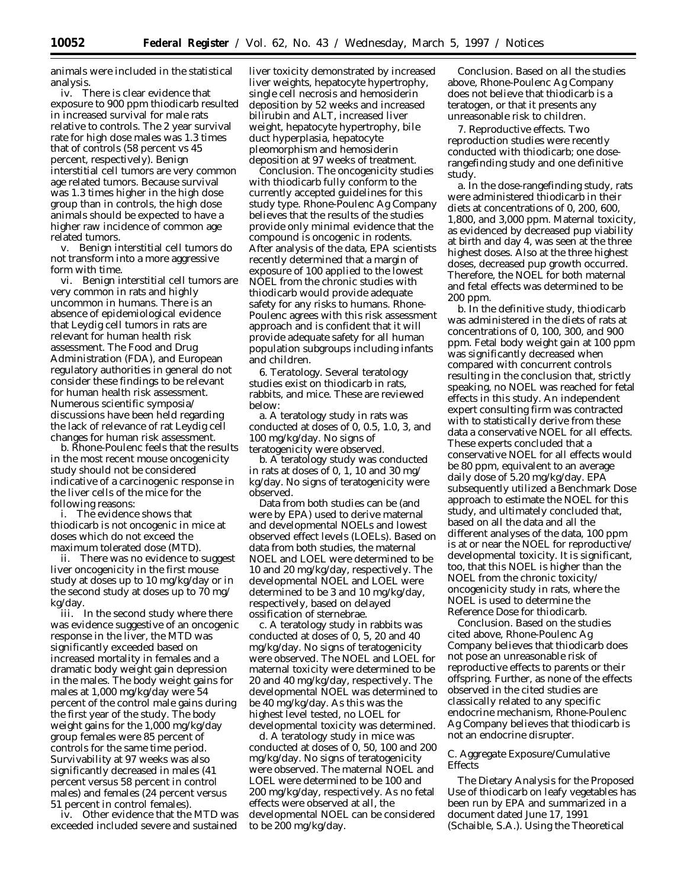animals were included in the statistical analysis.

iv. There is clear evidence that exposure to 900 ppm thiodicarb resulted in increased survival for male rats relative to controls. The 2 year survival rate for high dose males was 1.3 times that of controls (58 percent vs 45 percent, respectively). Benign interstitial cell tumors are very common age related tumors. Because survival was 1.3 times higher in the high dose group than in controls, the high dose animals should be expected to have a higher raw incidence of common age related tumors.

v. Benign interstitial cell tumors do not transform into a more aggressive form with time.

vi. Benign interstitial cell tumors are very common in rats and highly uncommon in humans. There is an absence of epidemiological evidence that Leydig cell tumors in rats are relevant for human health risk assessment. The Food and Drug Administration (FDA), and European regulatory authorities in general do not consider these findings to be relevant for human health risk assessment. Numerous scientific symposia/ discussions have been held regarding the lack of relevance of rat Leydig cell changes for human risk assessment.

b. Rhone-Poulenc feels that the results in the most recent mouse oncogenicity study should not be considered indicative of a carcinogenic response in the liver cells of the mice for the following reasons:

i. The evidence shows that thiodicarb is not oncogenic in mice at doses which do not exceed the maximum tolerated dose (MTD).

ii. There was no evidence to suggest liver oncogenicity in the first mouse study at doses up to 10 mg/kg/day or in the second study at doses up to 70 mg/ kg/day.

iii. In the second study where there was evidence suggestive of an oncogenic response in the liver, the MTD was significantly exceeded based on increased mortality in females and a dramatic body weight gain depression in the males. The body weight gains for males at 1,000 mg/kg/day were 54 percent of the control male gains during the first year of the study. The body weight gains for the 1,000 mg/kg/day group females were 85 percent of controls for the same time period. Survivability at 97 weeks was also significantly decreased in males (41 percent versus 58 percent in control males) and females (24 percent versus 51 percent in control females).

iv. Other evidence that the MTD was exceeded included severe and sustained

liver toxicity demonstrated by increased liver weights, hepatocyte hypertrophy, single cell necrosis and hemosiderin deposition by 52 weeks and increased bilirubin and ALT, increased liver weight, hepatocyte hypertrophy, bile duct hyperplasia, hepatocyte pleomorphism and hemosiderin deposition at 97 weeks of treatment.

*Conclusion.* The oncogenicity studies with thiodicarb fully conform to the currently accepted guidelines for this study type. Rhone-Poulenc Ag Company believes that the results of the studies provide only minimal evidence that the compound is oncogenic in rodents. After analysis of the data, EPA scientists recently determined that a margin of exposure of 100 applied to the lowest NOEL from the chronic studies with thiodicarb would provide adequate safety for any risks to humans. Rhone-Poulenc agrees with this risk assessment approach and is confident that it will provide adequate safety for all human population subgroups including infants and children.

6. *Teratology.* Several teratology studies exist on thiodicarb in rats, rabbits, and mice. These are reviewed below:

a. A teratology study in rats was conducted at doses of 0, 0.5, 1.0, 3, and 100 mg/kg/day. No signs of teratogenicity were observed.

b. A teratology study was conducted in rats at doses of 0, 1, 10 and 30 mg/ kg/day. No signs of teratogenicity were observed.

Data from both studies can be (and were by EPA) used to derive maternal and developmental NOELs and lowest observed effect levels (LOELs). Based on data from both studies, the maternal NOEL and LOEL were determined to be 10 and 20 mg/kg/day, respectively. The developmental NOEL and LOEL were determined to be 3 and 10 mg/kg/day, respectively, based on delayed ossification of sternebrae.

c. A teratology study in rabbits was conducted at doses of 0, 5, 20 and 40 mg/kg/day. No signs of teratogenicity were observed. The NOEL and LOEL for maternal toxicity were determined to be 20 and 40 mg/kg/day, respectively. The developmental NOEL was determined to be 40 mg/kg/day. As this was the highest level tested, no LOEL for developmental toxicity was determined.

d. A teratology study in mice was conducted at doses of 0, 50, 100 and 200 mg/kg/day. No signs of teratogenicity were observed. The maternal NOEL and LOEL were determined to be 100 and 200 mg/kg/day, respectively. As no fetal effects were observed at all, the developmental NOEL can be considered to be 200 mg/kg/day.

*Conclusion.* Based on all the studies above, Rhone-Poulenc Ag Company does not believe that thiodicarb is a teratogen, or that it presents any unreasonable risk to children.

7. *Reproductive effects.* Two reproduction studies were recently conducted with thiodicarb; one doserangefinding study and one definitive study.

a. In the dose-rangefinding study, rats were administered thiodicarb in their diets at concentrations of 0, 200, 600, 1,800, and 3,000 ppm. Maternal toxicity, as evidenced by decreased pup viability at birth and day 4, was seen at the three highest doses. Also at the three highest doses, decreased pup growth occurred. Therefore, the NOEL for both maternal and fetal effects was determined to be 200 ppm.

b. In the definitive study, thiodicarb was administered in the diets of rats at concentrations of 0, 100, 300, and 900 ppm. Fetal body weight gain at 100 ppm was significantly decreased when compared with concurrent controls resulting in the conclusion that, strictly speaking, no NOEL was reached for fetal effects in this study. An independent expert consulting firm was contracted with to statistically derive from these data a conservative NOEL for all effects. These experts concluded that a conservative NOEL for all effects would be 80 ppm, equivalent to an average daily dose of 5.20 mg/kg/day. EPA subsequently utilized a Benchmark Dose approach to estimate the NOEL for this study, and ultimately concluded that, based on all the data and all the different analyses of the data, 100 ppm is at or near the NOEL for reproductive/ developmental toxicity. It is significant, too, that this NOEL is higher than the NOEL from the chronic toxicity/ oncogenicity study in rats, where the NOEL is used to determine the Reference Dose for thiodicarb.

*Conclusion.* Based on the studies cited above, Rhone-Poulenc Ag Company believes that thiodicarb does not pose an unreasonable risk of reproductive effects to parents or their offspring. Further, as none of the effects observed in the cited studies are classically related to any specific endocrine mechanism, Rhone-Poulenc Ag Company believes that thiodicarb is not an endocrine disrupter.

# *C. Aggregate Exposure/Cumulative Effects*

The Dietary Analysis for the Proposed Use of thiodicarb on leafy vegetables has been run by EPA and summarized in a document dated June 17, 1991 (Schaible, S.A.). Using the Theoretical